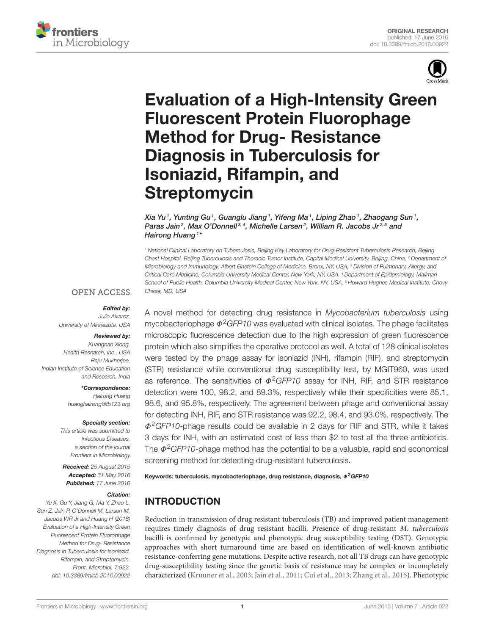



# [Evaluation of a High-Intensity Green](http://journal.frontiersin.org/article/10.3389/fmicb.2016.00922/abstract) Fluorescent Protein Fluorophage Method for Drug- Resistance Diagnosis in Tuberculosis for Isoniazid, Rifampin, and **Streptomycin**

Xia Yu<sup>1</sup>, Yunting Gu<sup>1</sup>, Guanglu Jiang<sup>1</sup>, Yifeng Ma<sup>1</sup>, Liping Zhao<sup>1</sup>, Zhaogang Sun<sup>1</sup>, [Paras Jain](http://loop.frontiersin.org/people/96155/overview)<sup>2</sup>, Max O'Donnell<sup>3,4</sup>, Michelle Larsen<sup>2</sup>, William R. Jacobs Jr<sup>2,5</sup> and [Hairong Huang](http://loop.frontiersin.org/people/267522/overview) <sup>1\*</sup>

*<sup>1</sup> National Clinical Laboratory on Tuberculosis, Beijing Key Laboratory for Drug-Resistant Tuberculosis Research, Beijing Chest Hospital, Beijing Tuberculosis and Thoracic Tumor Institute, Capital Medical University, Beijing, China, <sup>2</sup> Department of Microbiology and Immunology, Albert Einstein College of Medicine, Bronx, NY, USA, <sup>3</sup> Division of Pulmonary, Allergy, and Critical Care Medicine, Columbia University Medical Center, New York, NY, USA, <sup>4</sup> Department of Epidemiology, Mailman School of Public Health, Columbia University Medical Center, New York, NY, USA, <sup>5</sup> Howard Hughes Medical Institute, Chevy Chase, MD, USA*

#### **OPEN ACCESS**

#### Edited by:

*Julio Alvarez, University of Minnesota, USA*

#### Reviewed by:

*Kuangnan Xiong, Health Research, Inc., USA Raju Mukherjee, Indian Institute of Science Education and Research, India*

\*Correspondence:

*Hairong Huang [huanghairong@tb123.org](mailto:huanghairong@tb123.org)*

#### Specialty section:

*This article was submitted to Infectious Diseases, a section of the journal Frontiers in Microbiology*

Received: *25 August 2015* Accepted: *31 May 2016* Published: *17 June 2016*

#### Citation:

*Yu X, Gu Y, Jiang G, Ma Y, Zhao L, Sun Z, Jain P, O'Donnell M, Larsen M, Jacobs WR Jr and Huang H (2016) Evaluation of a High-Intensity Green Fluorescent Protein Fluorophage Method for Drug- Resistance Diagnosis in Tuberculosis for Isoniazid, Rifampin, and Streptomycin. Front. Microbiol. 7:922. doi: [10.3389/fmicb.2016.00922](http://dx.doi.org/10.3389/fmicb.2016.00922)*

A novel method for detecting drug resistance in *Mycobacterium tuberculosis* using mycobacteriophage Φ2*GFP10* was evaluated with clinical isolates. The phage facilitates microscopic fluorescence detection due to the high expression of green fluorescence protein which also simplifies the operative protocol as well. A total of 128 clinical isolates were tested by the phage assay for isoniazid (INH), rifampin (RIF), and streptomycin (STR) resistance while conventional drug susceptibility test, by MGIT960, was used as reference. The sensitivities of  $\Phi^2 GFP10$  assay for INH, RIF, and STR resistance detection were 100, 98.2, and 89.3%, respectively while their specificities were 85.1, 98.6, and 95.8%, respectively. The agreement between phage and conventional assay for detecting INH, RIF, and STR resistance was 92.2, 98.4, and 93.0%, respectively. The Φ2*GFP10*-phage results could be available in 2 days for RIF and STR, while it takes 3 days for INH, with an estimated cost of less than \$2 to test all the three antibiotics. The  $\Phi^2$ *GFP10*-phage method has the potential to be a valuable, rapid and economical screening method for detecting drug-resistant tuberculosis.

Keywords: tuberculosis, mycobacteriophage, drug resistance, diagnosis,  $\Phi^2 GFP10$ 

# INTRODUCTION

Reduction in transmission of drug resistant tuberculosis (TB) and improved patient management requires timely diagnosis of drug resistant bacilli. Presence of drug-resistant M. tuberculosis bacilli is confirmed by genotypic and phenotypic drug susceptibility testing (DST). Genotypic approaches with short turnaround time are based on identification of well-known antibiotic resistance-conferring gene mutations. Despite active research, not all TB drugs can have genotypic drug-susceptibility testing since the genetic basis of resistance may be complex or incompletely characterized [\(Kruuner et al., 2003;](#page-5-0) [Jain et al., 2011;](#page-5-1) [Cui et al., 2013;](#page-5-2) [Zhang](#page-5-3) et al., [2015\)](#page-5-3). Phenotypic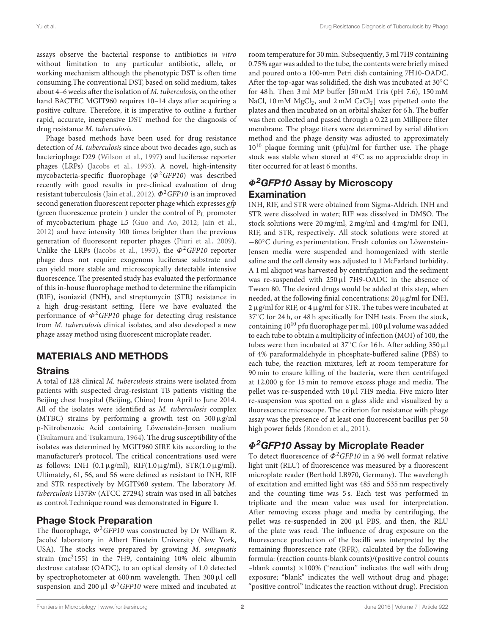assays observe the bacterial response to antibiotics in vitro without limitation to any particular antibiotic, allele, or working mechanism although the phenotypic DST is often time consuming.The conventional DST, based on solid medium, takes about 4–6 weeks after the isolation of M. tuberculosis, on the other hand BACTEC MGIT960 requires 10-14 days after acquiring a positive culture. Therefore, it is imperative to outline a further rapid, accurate, inexpensive DST method for the diagnosis of drug resistance M. tuberculosis.

Phage based methods have been used for drug resistance detection of M. tuberculosis since about two decades ago, such as bacteriophage D29 [\(Wilson et al., 1997\)](#page-5-4) and luciferase reporter phages (LRPs) [\(Jacobs et al., 1993\)](#page-5-5). A novel, high-intensity mycobacteria-specific fluorophage  $(\Phi^2 GFP10)$  was described recently with good results in pre-clinical evaluation of drug resistant tuberculosis [\(Jain et al., 2012\)](#page-5-6).  $\Phi^2 GFP10$  is an improved second generation fluorescent reporter phage which expresses gfp (green fluorescence protein) under the control of  $P_L$  promoter of mycobacterium phage L5 [\(Guo and Ao, 2012;](#page-5-7) [Jain et al.,](#page-5-6) [2012\)](#page-5-6) and have intensity 100 times brighter than the previous generation of fluorescent reporter phages [\(Piuri et al., 2009\)](#page-5-8). Unlike the LRPs [\(Jacobs et al., 1993\)](#page-5-5), the  $\Phi^2$ GFP10 reporter phage does not require exogenous luciferase substrate and can yield more stable and microscopically detectable intensive fluorescence. The presented study has evaluated the performance of this in-house fluorophage method to determine the rifampicin (RIF), isoniazid (INH), and streptomycin (STR) resistance in a high drug-resistant setting. Here we have evaluated the performance of  $\Phi^2$ GFP10 phage for detecting drug resistance from M. tuberculosis clinical isolates, and also developed a new phage assay method using fluorescent microplate reader.

## MATERIALS AND METHODS

#### **Strains**

A total of 128 clinical M. tuberculosis strains were isolated from patients with suspected drug-resistant TB patients visiting the Beijing chest hospital (Beijing, China) from April to June 2014. All of the isolates were identified as M. tuberculosis complex (MTBC) strains by performing a growth test on  $500 \mu g/ml$ p-Nitrobenzoic Acid containing Löwenstein-Jensen medium [\(Tsukamura and Tsukamura, 1964\)](#page-5-9). The drug susceptibility of the isolates was determined by MGIT960 SIRE kits according to the manufacturer's protocol. The critical concentrations used were as follows: INH  $(0.1 \mu\text{g/ml})$ , RIF $(1.0 \mu\text{g/ml})$ , STR $(1.0 \mu\text{g/ml})$ . Ultimately, 61, 56, and 56 were defined as resistant to INH, RIF and STR respectively by MGIT960 system. The laboratory M. tuberculosis H37Rv (ATCC 27294) strain was used in all batches as control.Technique round was demonstrated in **[Figure 1](#page-2-0)**.

### Phage Stock Preparation

The fluorophage,  $\Phi^2$ GFP10 was constructed by Dr William R. Jacobs' laboratory in Albert Einstein University (New York, USA). The stocks were prepared by growing M. smegmatis strain (mc<sup>2</sup>155) in the 7H9, containing 10% oleic albumin dextrose catalase (OADC), to an optical density of 1.0 detected by spectrophotometer at 600 nm wavelength. Then  $300 \mu l$  cell suspension and 200  $\mu$ l  $\Phi^2$ GFP10 were mixed and incubated at room temperature for 30 min. Subsequently, 3 ml 7H9 containing 0.75% agar was added to the tube, the contents were briefly mixed and poured onto a 100-mm Petri dish containing 7H10-OADC. After the top-agar was solidified, the dish was incubated at 30◦C for 48 h. Then 3 ml MP buffer [50 mM Tris (pH 7.6), 150 mM NaCl, 10 mM  $MgCl<sub>2</sub>$ , and 2 mM  $CaCl<sub>2</sub>$ ] was pipetted onto the plates and then incubated on an orbital shaker for 6 h. The buffer was then collected and passed through a  $0.22 \,\mu$ m Millipore filter membrane. The phage titers were determined by serial dilution method and the phage density was adjusted to approximately  $10^{10}$  plaque forming unit (pfu)/ml for further use. The phage stock was stable when stored at 4◦C as no appreciable drop in titer occurred for at least 6 months.

# $\Phi^2$ GFP10 Assay by Microscopy **Examination**

INH, RIF, and STR were obtained from Sigma-Aldrich. INH and STR were dissolved in water; RIF was dissolved in DMSO. The stock solutions were 20 mg/ml, 2 mg/ml and 4 mg/ml for INH, RIF, and STR, respectively. All stock solutions were stored at −80◦C during experimentation. Fresh colonies on Löwenstein-Jensen media were suspended and homogenized with sterile saline and the cell density was adjusted to 1 McFarland turbidity. A 1 ml aliquot was harvested by centrifugation and the sediment was re-suspended with  $250 \mu$ l 7H9-OADC in the absence of Tween 80. The desired drugs would be added at this step, when needed, at the following finial concentrations:  $20 \mu$ g/ml for INH,  $2 \mu$ g/ml for RIF, or  $4 \mu$ g/ml for STR. The tubes were incubated at 37◦C for 24 h, or 48 h specifically for INH tests. From the stock, containing  $10^{10}$  pfu fluorophage per ml, 100  $\mu$ l volume was added to each tube to obtain a multiplicity of infection (MOI) of 100, the tubes were then incubated at 37 $\mathrm{^{\circ}C}$  for 16 h. After adding 350  $\mu$ l of 4% paraformaldehyde in phosphate-buffered saline (PBS) to each tube, the reaction mixtures, left at room temperature for 90 min to ensure killing of the bacteria, were then centrifuged at 12,000 g for 15 min to remove excess phage and media. The pellet was re-suspended with  $10 \mu$ l 7H9 media. Five micro liter re-suspension was spotted on a glass slide and visualized by a fluorescence microscope. The criterion for resistance with phage assay was the presence of at least one fluorescent bacillus per 50 high power fields [\(Rondon et al., 2011\)](#page-5-10).

# $\Phi^2$ GFP10 Assay by Microplate Reader

To detect fluorescence of  $\Phi^2$ GFP10 in a 96 well format relative light unit (RLU) of fluorescence was measured by a fluorescent microplate reader (Berthold LB970, Germany). The wavelength of excitation and emitted light was 485 and 535 nm respectively and the counting time was 5 s. Each test was performed in triplicate and the mean value was used for interpretation. After removing excess phage and media by centrifuging, the pellet was re-suspended in 200 µl PBS, and then, the RLU of the plate was read. The influence of drug exposure on the fluorescence production of the bacilli was interpreted by the remaining fluorescence rate (RFR), calculated by the following formula: (reaction counts-blank counts)/(positive control counts -blank counts)  $\times$ 100% ("reaction" indicates the well with drug exposure; "blank" indicates the well without drug and phage; "positive control" indicates the reaction without drug). Precision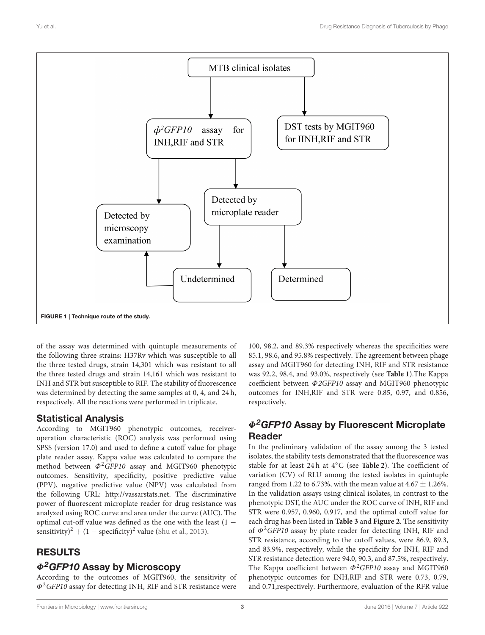

<span id="page-2-0"></span>of the assay was determined with quintuple measurements of the following three strains: H37Rv which was susceptible to all the three tested drugs, strain 14,301 which was resistant to all the three tested drugs and strain 14,161 which was resistant to INH and STR but susceptible to RIF. The stability of fluorescence was determined by detecting the same samples at 0, 4, and 24 h, respectively. All the reactions were performed in triplicate.

## Statistical Analysis

According to MGIT960 phenotypic outcomes, receiveroperation characteristic (ROC) analysis was performed using SPSS (version 17.0) and used to define a cutoff value for phage plate reader assay. Kappa value was calculated to compare the method between  $\Phi^2 GFP10$  assay and MGIT960 phenotypic outcomes. Sensitivity, specificity, positive predictive value (PPV), negative predictive value (NPV) was calculated from the following URL: [http://vassarstats.net.](http://vassarstats.net) The discriminative power of fluorescent microplate reader for drug resistance was analyzed using ROC curve and area under the curve (AUC). The optimal cut-off value was defined as the one with the least (1 − sensitivity)<sup>2</sup> + (1 – specificity)<sup>2</sup> value [\(Shu et al., 2013\)](#page-5-11).

# RESULTS

## $\Phi^2$ GFP10 Assay by Microscopy

According to the outcomes of MGIT960, the sensitivity of  $\Phi^2$ GFP10 assay for detecting INH, RIF and STR resistance were 100, 98.2, and 89.3% respectively whereas the specificities were 85.1, 98.6, and 95.8% respectively. The agreement between phage assay and MGIT960 for detecting INH, RIF and STR resistance was 92.2, 98.4, and 93.0%, respectively (see **[Table 1](#page-3-0)**).The Kappa coefficient between Φ2GFP10 assay and MGIT960 phenotypic outcomes for INH,RIF and STR were 0.85, 0.97, and 0.856, respectively.

# Φ2GFP10 Assay by Fluorescent Microplate Reader

In the preliminary validation of the assay among the 3 tested isolates, the stability tests demonstrated that the fluorescence was stable for at least 24 h at 4◦C (see **[Table 2](#page-3-1)**). The coefficient of variation (CV) of RLU among the tested isolates in quintuple ranged from 1.22 to 6.73%, with the mean value at  $4.67 \pm 1.26$ %. In the validation assays using clinical isolates, in contrast to the phenotypic DST, the AUC under the ROC curve of INH, RIF and STR were 0.957, 0.960, 0.917, and the optimal cutoff value for each drug has been listed in **[Table 3](#page-4-0)** and **[Figure 2](#page-4-1)**. The sensitivity of  $\Phi^2$ GFP10 assay by plate reader for detecting INH, RIF and STR resistance, according to the cutoff values, were 86.9, 89.3, and 83.9%, respectively, while the specificity for INH, RIF and STR resistance detection were 94.0, 90.3, and 87.5%, respectively. The Kappa coefficient between  $\Phi^2$ GFP10 assay and MGIT960 phenotypic outcomes for INH,RIF and STR were 0.73, 0.79, and 0.71,respectively. Furthermore, evaluation of the RFR value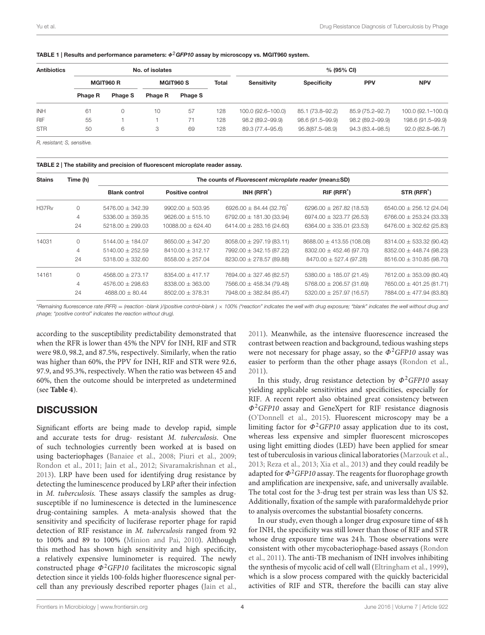| <b>Antibiotics</b> | No. of isolates  |         |                  |         | % (95% CI)   |                    |                    |                  |                    |
|--------------------|------------------|---------|------------------|---------|--------------|--------------------|--------------------|------------------|--------------------|
|                    | <b>MGIT960 R</b> |         | <b>MGIT960 S</b> |         | <b>Total</b> | <b>Sensitivity</b> | <b>Specificity</b> | <b>PPV</b>       | <b>NPV</b>         |
|                    | Phage R          | Phage S | <b>Phage R</b>   | Phage S |              |                    |                    |                  |                    |
| <b>INH</b>         | 61               |         | 10               | 57      | 128          | 100.0 (92.6-100.0) | 85.1 (73.8-92.2)   | 85.9 (75.2-92.7) | 100.0 (92.1-100.0) |
| <b>RIF</b>         | 55               |         |                  | 71      | 128          | 98.2 (89.2-99.9)   | 98.6 (91.5–99.9)   | 98.2 (89.2-99.9) | 198.6 (91.5-99.9)  |
| <b>STR</b>         | 50               | 6       | 3                | 69      | 128          | 89.3 (77.4-95.6)   | 95.8(87.5-98.9)    | 94.3 (83.4-98.5) | 92.0 (82.8-96.7)   |

<span id="page-3-0"></span>TABLE 1 | Results and performance parameters:  $\Phi^2$ GFP10 assay by microscopy vs. MGIT960 system.

*R, resistant; S, sensitive.*

#### <span id="page-3-1"></span>TABLE 2 | The stability and precision of fluorescent microplate reader assay.

| <b>Stains</b> | Time (h) | The counts of Fluorescent microplate reader (mean $\pm$ SD) |                         |                              |                               |                              |  |  |  |
|---------------|----------|-------------------------------------------------------------|-------------------------|------------------------------|-------------------------------|------------------------------|--|--|--|
|               |          | <b>Blank control</b>                                        | <b>Positive control</b> | $INH (RFR*)$                 | RIF (RFR <sup>*</sup> )       | STR (RFR <sup>*</sup> )      |  |  |  |
| H37Rv         | $\Omega$ | $5476.00 \pm 342.39$                                        | $9902.00 \pm 503.95$    | $6926.00 \pm 84.44 (32.76)$  | 6296.00 $\pm$ 267.82 (18.53)  | $6540.00 \pm 256.12$ (24.04) |  |  |  |
|               | 4        | $5336.00 \pm 359.35$                                        | $9626.00 \pm 515.10$    | 6792.00 $\pm$ 181.30 (33.94) | $6974.00 \pm 323.77$ (26.53)  | $6766.00 \pm 253.24$ (33.33) |  |  |  |
|               | 24       | $5218.00 \pm 299.03$                                        | $10088.00 + 624.40$     | $6414.00 \pm 283.16$ (24.60) | $6364.00 \pm 335.01 (23.53)$  | $6476.00 \pm 302.62$ (25.83) |  |  |  |
| 14031         | $\Omega$ | $5144.00 \pm 184.07$                                        | $8650.00 \pm 347.20$    | $8058.00 \pm 297.19$ (83.11) | $8688.00 \pm 413.55$ (108.08) | $8314.00 \pm 533.32$ (90.42) |  |  |  |
|               | 4        | $5140.00 + 252.59$                                          | $8410.00 + 312.17$      | 7992.00 ± 342.15 (87.22)     | $8302.00 \pm 452.46 (97.70)$  | $8352.00 \pm 448.74 (98.23)$ |  |  |  |
|               | 24       | $5318.00 \pm 332.60$                                        | $8558.00 \pm 257.04$    | $8230.00 \pm 278.57$ (89.88) | $8470.00 \pm 527.4$ (97.28)   | $8516.00 \pm 310.85$ (98.70) |  |  |  |
| 14161         | $\Omega$ | $4568.00 \pm 273.17$                                        | $8354.00 \pm 417.17$    | 7694.00 ± 327.46 (82.57)     | $5380.00 \pm 185.07$ (21.45)  | $7612.00 \pm 353.09$ (80.40) |  |  |  |
|               | 4        | $4576.00 \pm 298.63$                                        | $8338.00 + 363.00$      | $7566.00 \pm 458.34 (79.48)$ | $5768.00 \pm 206.57(31.69)$   | $7650.00 \pm 401.25 (81.71)$ |  |  |  |
|               | 24       | $4688.00 \pm 80.44$                                         | $8502.00 \pm 378.31$    | 7948.00 ± 382.84 (85.47)     | $5320.00 \pm 257.97$ (16.57)  | 7884.00 ± 477.94 (83.80)     |  |  |  |

\**Remaining fluorescence rate (RFR)* = *(reaction -blank )/(positive control–blank )* × *100% ("reaction" indicates the well with drug exposure; "blank" indicates the well without drug and phage; "positive control" indicates the reaction without drug).*

according to the susceptibility predictability demonstrated that when the RFR is lower than 45% the NPV for INH, RIF and STR were 98.0, 98.2, and 87.5%, respectively. Similarly, when the ratio was higher than 60%, the PPV for INH, RIF and STR were 92.6, 97.9, and 95.3%, respectively. When the ratio was between 45 and 60%, then the outcome should be interpreted as undetermined (see **[Table 4](#page-4-2)**).

### **DISCUSSION**

Significant efforts are being made to develop rapid, simple and accurate tests for drug- resistant M. tuberculosis. One of such technologies currently been worked at is based on using bacteriophages [\(Banaiee et al., 2008;](#page-5-12) [Piuri et al., 2009;](#page-5-8) [Rondon et al., 2011;](#page-5-10) [Jain et al., 2012;](#page-5-6) [Sivaramakrishnan et al.,](#page-5-13) [2013\)](#page-5-13). LRP have been used for identifying drug resistance by detecting the luminescence produced by LRP after their infection in M. tuberculosis. These assays classify the samples as drugsusceptible if no luminescence is detected in the luminescence drug-containing samples. A meta-analysis showed that the sensitivity and specificity of luciferase reporter phage for rapid detection of RIF resistance in M. tuberculosis ranged from 92 to 100% and 89 to 100% [\(Minion and Pai, 2010\)](#page-5-14). Although this method has shown high sensitivity and high specificity, a relatively expensive luminometer is required. The newly constructed phage  $\Phi^2$ GFP10 facilitates the microscopic signal detection since it yields 100-folds higher fluorescence signal percell than any previously described reporter phages [\(Jain et al.,](#page-5-1) [2011\)](#page-5-1). Meanwhile, as the intensive fluorescence increased the contrast between reaction and background, tedious washing steps were not necessary for phage assay, so the  $\Phi^2 GFP10$  assay was easier to perform than the other phage assays [\(Rondon et al.,](#page-5-10) [2011\)](#page-5-10).

In this study, drug resistance detection by  $\Phi^2 GFP10$  assay yielding applicable sensitivities and specificities, especially for RIF. A recent report also obtained great consistency between  $\Phi^2$ GFP10 assay and GeneXpert for RIF resistance diagnosis [\(O'Donnell et al., 2015\)](#page-5-15). Fluorescent microscopy may be a limiting factor for  $\Phi^2$ GFP10 assay application due to its cost, whereas less expensive and simpler fluorescent microscopes using light emitting diodes (LED) have been applied for smear test of tuberculosis in various clinical laboratories [\(Marzouk et al.,](#page-5-16) [2013;](#page-5-16) [Reza et al., 2013;](#page-5-17) [Xia et al., 2013\)](#page-5-18) and they could readily be adapted for  $\Phi^2$ GFP10 assay. The reagents for fluorophage growth and amplification are inexpensive, safe, and universally available. The total cost for the 3-drug test per strain was less than US \$2. Additionally, fixation of the sample with paraformaldehyde prior to analysis overcomes the substantial biosafety concerns.

In our study, even though a longer drug exposure time of 48 h for INH, the specificity was still lower than those of RIF and STR whose drug exposure time was 24 h. Those observations were consistent with other mycobacteriophage-based assays (Rondon et al., [2011\)](#page-5-10). The anti-TB mechanism of INH involves inhibiting the synthesis of mycolic acid of cell wall [\(Eltringham et al., 1999\)](#page-5-19), which is a slow process compared with the quickly bactericidal activities of RIF and STR, therefore the bacilli can stay alive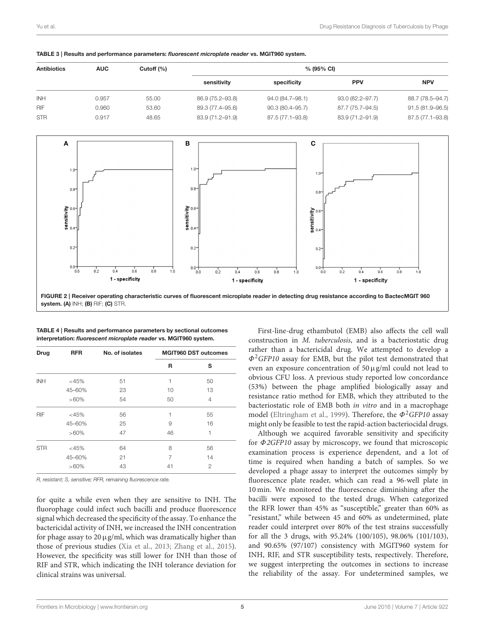|                    |            | Cutoff (%) |            |        |           |
|--------------------|------------|------------|------------|--------|-----------|
| <b>Antibiotics</b> | <b>AUC</b> |            | % (95% CI) |        |           |
|                    |            |            | .          | --- -- | $- - - -$ |

<span id="page-4-0"></span>TABLE 3 | Results and performance parameters: fluorescent microplate reader vs. MGIT960 system.

|       |       | sensitivity      | specificity      | <b>PPV</b>       | <b>NPV</b>       |
|-------|-------|------------------|------------------|------------------|------------------|
| 0.957 | 55.00 | 86.9 (75.2-93.8) | 94.0 (84.7-98.1) | 93.0 (82.2-97.7) | 88.7 (78.5-94.7) |
| 0.960 | 53.60 | 89.3 (77.4-95.6) | 90.3 (80.4–95.7) | 87.7 (75.7–94.5) | 91.5 (81.9-96.5) |
| 0.917 | 48.65 | 83.9 (71.2-91.9) | 87.5 (77.1–93.8) | 83.9 (71.2-91.9) | 87.5 (77.1-93.8) |
|       |       |                  |                  |                  | .                |



| Drug       | <b>RFR</b> | No. of isolates | <b>MGIT960 DST outcomes</b> |                |  |
|------------|------------|-----------------|-----------------------------|----------------|--|
|            |            |                 | R                           | s              |  |
| <b>INH</b> | $<$ 45%    | 51              | 1                           | 50             |  |
|            | 45-60%     | 23              | 10                          | 13             |  |
|            | $>60\%$    | 54              | 50                          | $\overline{4}$ |  |
| <b>RIF</b> | $<$ 45%    | 56              | 1                           | 55             |  |
|            | 45-60%     | 25              | 9                           | 16             |  |
|            | $>60\%$    | 47              | 46                          | 1              |  |
| <b>STR</b> | $<$ 45%    | 64              | 8                           | 56             |  |
|            | 45-60%     | 21              | 7                           | 14             |  |
|            | $>60\%$    | 43              | 41                          | $\mathfrak{p}$ |  |

<span id="page-4-2"></span><span id="page-4-1"></span>

| TABLE 4   Results and performance parameters by sectional outcomes |  |
|--------------------------------------------------------------------|--|
| interpretation: fluorescent microplate reader vs. MGIT960 system.  |  |

*R, resistant; S, sensitive; RFR, remaining fluorescence rate.*

for quite a while even when they are sensitive to INH. The fluorophage could infect such bacilli and produce fluorescence signal which decreased the specificity of the assay. To enhance the bactericidal activity of INH, we increased the INH concentration for phage assay to 20  $\mu$ g/ml, which was dramatically higher than those of previous studies [\(Xia et al., 2013;](#page-5-18) [Zhang et al., 2015\)](#page-5-3). However, the specificity was still lower for INH than those of RIF and STR, which indicating the INH tolerance deviation for clinical strains was universal.

First-line-drug ethambutol (EMB) also affects the cell wall construction in M. tuberculosis, and is a bacteriostatic drug rather than a bactericidal drug. We attempted to develop a  $\Phi^2$ GFP10 assay for EMB, but the pilot test demonstrated that even an exposure concentration of  $50 \mu g/ml$  could not lead to obvious CFU loss. A previous study reported low concordance (53%) between the phage amplified biologically assay and resistance ratio method for EMB, which they attributed to the bacteriostatic role of EMB both in vitro and in a macrophage model [\(Eltringham et al., 1999\)](#page-5-19). Therefore, the  $\Phi^2 GFP10$  assay might only be feasible to test the rapid-action bacteriocidal drugs.

Although we acquired favorable sensitivity and specificity for Φ2GFP10 assay by microscopy, we found that microscopic examination process is experience dependent, and a lot of time is required when handing a batch of samples. So we developed a phage assay to interpret the outcomes simply by fluorescence plate reader, which can read a 96-well plate in 10 min. We monitored the fluorescence diminishing after the bacilli were exposed to the tested drugs. When categorized the RFR lower than 45% as "susceptible," greater than 60% as "resistant," while between 45 and 60% as undetermined, plate reader could interpret over 80% of the test strains successfully for all the 3 drugs, with 95.24% (100/105), 98.06% (101/103), and 90.65% (97/107) consistency with MGIT960 system for INH, RIF, and STR susceptibility tests, respectively. Therefore, we suggest interpreting the outcomes in sections to increase the reliability of the assay. For undetermined samples, we